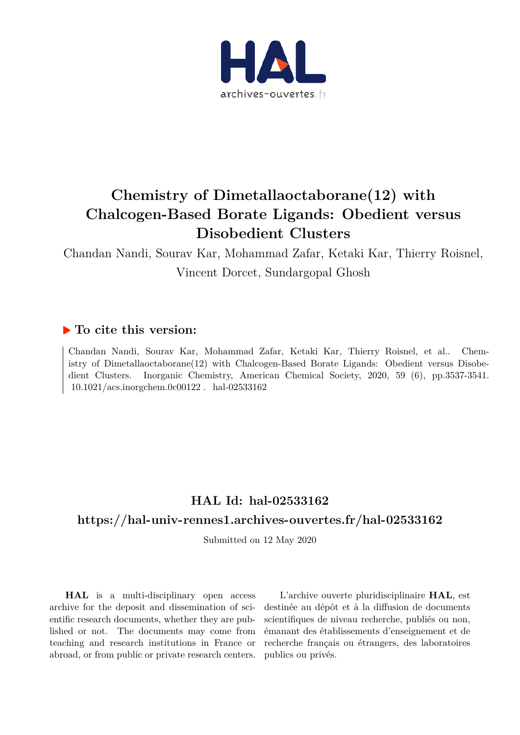

# **Chemistry of Dimetallaoctaborane(12) with Chalcogen-Based Borate Ligands: Obedient versus Disobedient Clusters**

Chandan Nandi, Sourav Kar, Mohammad Zafar, Ketaki Kar, Thierry Roisnel, Vincent Dorcet, Sundargopal Ghosh

## **To cite this version:**

Chandan Nandi, Sourav Kar, Mohammad Zafar, Ketaki Kar, Thierry Roisnel, et al.. Chemistry of Dimetallaoctaborane(12) with Chalcogen-Based Borate Ligands: Obedient versus Disobedient Clusters. Inorganic Chemistry, American Chemical Society, 2020, 59 (6), pp.3537-3541. 10.1021/acs.inorgchem.0c00122. hal-02533162

# **HAL Id: hal-02533162**

### **https://hal-univ-rennes1.archives-ouvertes.fr/hal-02533162**

Submitted on 12 May 2020

**HAL** is a multi-disciplinary open access archive for the deposit and dissemination of scientific research documents, whether they are published or not. The documents may come from teaching and research institutions in France or abroad, or from public or private research centers.

L'archive ouverte pluridisciplinaire **HAL**, est destinée au dépôt et à la diffusion de documents scientifiques de niveau recherche, publiés ou non, émanant des établissements d'enseignement et de recherche français ou étrangers, des laboratoires publics ou privés.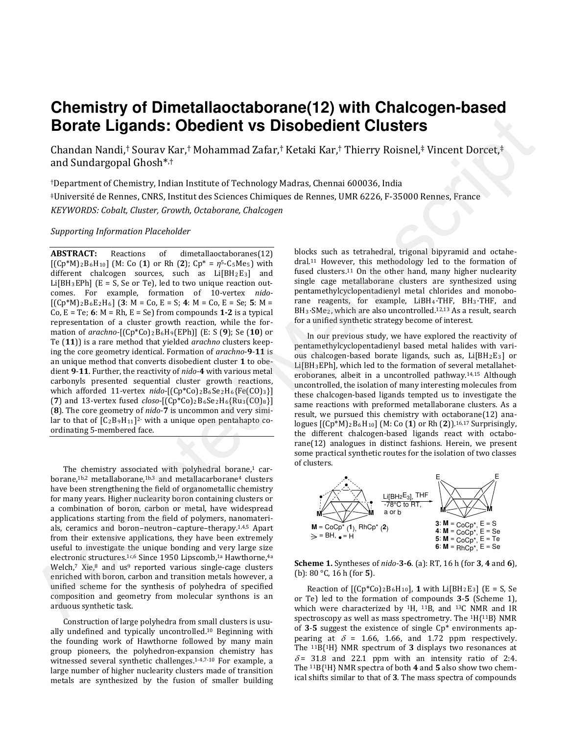# **Chemistry of Dimetallaoctaborane(12) with Chalcogen-based Borate Ligands: Obedient vs Disobedient Clusters**

Chandan Nandi,† Sourav Kar,† Mohammad Zafar,† Ketaki Kar,† Thierry Roisnel,‡ Vincent Dorcet,‡ and Sundargopal Ghosh\* ,†

†Department of Chemistry, Indian Institute of Technology Madras, Chennai 600036, India ‡Universitéde Rennes, CNRS, Institut des Sciences Chimiques de Rennes, UMR 6226, F-35000 Rennes, France *KEYWORDS: Cobalt, Cluster, Growth, Octaborane, Chalcogen*

#### *Supporting Information Placeholder*

**ABSTRACT:** Reactions of dimetallaoctaboranes(12) [(Cp\*M)2B6H10] (M: Co (**1**) or Rh (**2**); Cp\* = *η*5-C5Me5) with different chalcogen sources, such as Li[BH2E3] and  $Li[BH_3EPh]$  (E = S, Se or Te), led to two unique reaction outcomes. For example, formation of 10-vertex *nido*-  $[(Cp*M)_2B_6E_2H_6]$  (3: M = Co, E = S; 4: M = Co, E = Se; 5: M = Co,  $E = Te$ ; 6:  $M = Rh$ ,  $E = Se$ ) from compounds **1-2** is a typical representation of a cluster growth reaction, while the formation of *arachno-*[(Cp\*Co)2B6H9(EPh)] (E: S (**9**); Se (**10**) or Te (**11**)) is a rare method that yielded *arachno* clusters keeping the core geometry identical. Formation of *arachno*-**9**-**11** is an unique method that converts disobedient cluster **1** to obedient **9**-**11**. Further, the reactivity of *nido-***4** with various metal carbonyls presented sequential cluster growth reactions, which afforded 11-vertex *nido*-[(Cp\*Co)<sub>2</sub>B<sub>6</sub>Se<sub>2</sub>H<sub>6</sub>{Fe(CO)<sub>3</sub>}] (**7**) and 13-vertex fused *closo*-[(Cp\*Co)2B6Se2H6{Ru3(CO)8}] (**8**). The core geometry of *nido-***7** is uncommon and very similar to that of  $[C_2B_9H_{11}]^2$  with a unique open pentahapto coordinating 5-membered face. **Borate Ligands: Obedient vs Disobedient Clusters**<br>
Chanda Nandra Constitute of Tablemann Zafar,\* Ketaki Kar,\* Thierry Roisnel,\* Vincent Dorcet,\*<br>
and Shampyal Ghosh<sup>4,\*</sup>, Mohammad Zafar,\* Ketaki Kar,\* Thierry Roisnel,\* V

The chemistry associated with polyhedral borane,<sup>1</sup> carborane,1b,2 metallaborane,1b,3 and metallacarborane<sup>4</sup> clusters have been strengthening the field of organometallic chemistry for many years. Higher nuclearity boron containing clusters or a combination of boron, carbon or metal, have widespread applications starting from the field of polymers, nanomaterials, ceramics and boron–neutron–capture–therapy.1,4,5 Apart from their extensive applications, they have been extremely useful to investigate the unique bonding and very large size electronic structures.<sup>1c,6</sup> Since 1950 Lipscomb,<sup>1a</sup> Hawthorne,<sup>4a</sup> Welch, $7$  Xie, $8$  and us $9$  reported various single-cage clusters enriched with boron, carbon and transition metals however, a unified scheme for the synthesis of polyhedra of specified composition and geometry from molecular synthons is an arduous synthetic task.

Construction of large polyhedra from small clusters is usually undefined and typically uncontrolled. <sup>10</sup> Beginning with the founding work of Hawthorne followed by many main group pioneers, the polyhedron-expansion chemistry has witnessed several synthetic challenges. 1-4,7-10 For example, a large number of higher nuclearity clusters made of transition metals are synthesized by the fusion of smaller building blocks such as tetrahedral, trigonal bipyramid and octahedral. <sup>11</sup> However, this methodology led to the formation of fused clusters.<sup>11</sup> On the other hand, many higher nuclearity single cage metallaborane clusters are synthesized using pentamethylcyclopentadienyl metal chlorides and monoborane reagents, for example, LiBH4·THF, BH3·THF, and BH3·SMe2, which are also uncontrolled.12,13 As a result, search for a unified synthetic strategy become of interest.

In our previous study, we have explored the reactivity of pentamethylcyclopentadienyl based metal halides with various chalcogen-based borate ligands, such as,  $Li[BH<sub>2</sub>E<sub>3</sub>]$  or Li[BH3EPh], which led to the formation of several metallaheteroboranes, albeit in a uncontrolled pathway. 14,15 Although uncontrolled, the isolation of many interesting molecules from these chalcogen-based ligands tempted us to investigate the same reactions with preformed metallaborane clusters. As a result, we pursued this chemistry with octaborane(12) analogues [(Cp\*M)2B6H10] (M: Co (**1**) or Rh (**2**)).16,17 Surprisingly, the different chalcogen-based ligands react with octaborane(12) analogues in distinct fashions. Herein, we present some practical synthetic routes for the isolation of two classes of clusters.



**Scheme 1.** Syntheses of *nido-***3-6**. (a): RT, 16 h (for **3**, **4** and **6**), (b): 80 °C, 16 h (for **5**).

Reaction of  $[(Cp*C<sub>0</sub>)<sub>2</sub>B<sub>6</sub>H<sub>10</sub>],$  1 with Li $[BH<sub>2</sub>E<sub>3</sub>]$  (E = S, Se or Te) led to the formation of compounds **3**-**5** (Scheme 1), which were characterized by  $1H$ ,  $11B$ , and  $13C$  NMR and IR spectroscopy as well as mass spectrometry. The 1H{11B} NMR of **3**-**5** suggest the existence of single Cp\* environments appearing at  $\delta$  = 1.66, 1.66, and 1.72 ppm respectively. The 11B{1H} NMR spectrum of **3** displays two resonances at  $\delta$  = 31.8 and 22.1 ppm with an intensity ratio of 2:4. The 11B{1H} NMR spectra of both **4** and **5** also show two chemical shifts similar to that of **3**. The mass spectra of compounds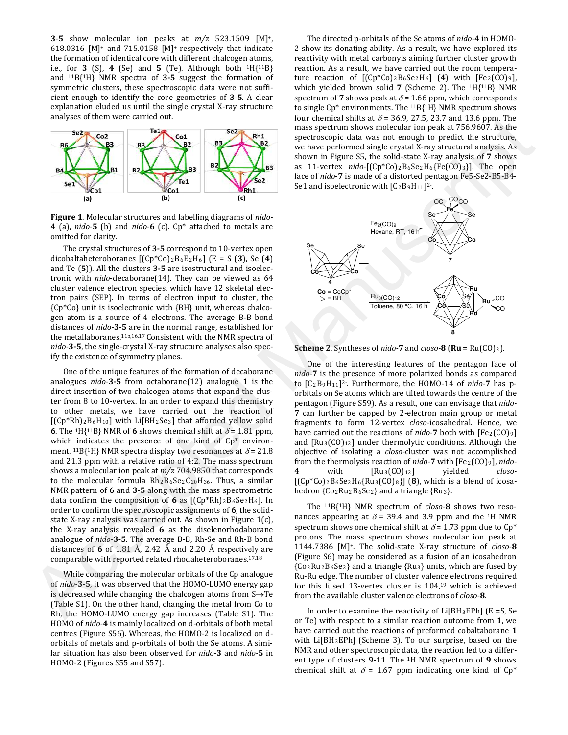**3**-**5** show molecular ion peaks at *m/z* 523.1509 [M] +, 618.0316 [M]<sup>+</sup> and 715.0158 [M]+ respectively that indicate the formation of identical core with different chalcogen atoms, i.e., for **3** (S), **4** (Se) and **5** (Te). Although both  $1H{11B}$ and 11B{1H} NMR spectra of **3-5** suggest the formation of symmetric clusters, these spectroscopic data were not sufficient enough to identify the core geometries of **3**-**5**. A clear explanation eluded us until the single crystal X-ray structure analyses of them were carried out.



**Figure 1**. Molecular structures and labelling diagrams of *nido-***4** (a), *nido-***5** (b) and *nido-***6** (c). Cp\* attached to metals are omitted for clarity.

The crystal structures of **3-5** correspond to 10-vertex open dicobaltaheteroboranes [(Cp\*Co)2B6E2H6] (E = S (**3**), Se (**4**) and Te (**5**)). All the clusters **3-5** are isostructural and isoelectronic with *nido*-decaborane(14). They can be viewed as 64 cluster valence electron species, which have 12 skeletal electron pairs (SEP). In terms of electron input to cluster, the {Cp\*Co} unit is isoelectronic with {BH} unit, whereas chalcogen atom is a source of 4 electrons. The average B-B bond distances of *nido-***3-5** are in the normal range, established for the metallaboranes.11b,16,17 Consistent with the NMR spectra of *nido-***3-5**, the single-crystal X-ray structure analyses also specify the existence of symmetry planes.

One of the unique features of the formation of decaborane analogues *nido-***3-5** from octaborane(12) analogue **1** is the direct insertion of two chalcogen atoms that expand the cluster from 8 to 10-vertex. In an order to expand this chemistry to other metals, we have carried out the reaction of  $[(Cp*Rh)_2B_6H_{10}]$  with Li $[BH_2Se_3]$  that afforded yellow solid **6**. The <sup>1</sup>H{<sup>11</sup>B} NMR of **6** shows chemical shift at  $\delta$  = 1.81 ppm, which indicates the presence of one kind of Cp\* environment. <sup>11</sup>B{<sup>1</sup>H} NMR spectra display two resonances at  $\delta$  = 21.8 and 21.3 ppm with a relative ratio of 4:2. The mass spectrum shows a molecular ion peak at *m/z* 704.9850 that corresponds to the molecular formula  $Rh_2B_6Se_2C_{20}H_{36}$ . Thus, a similar NMR pattern of **6** and **3-5** along with the mass spectrometric data confirm the composition of 6 as  $[(Cp*Rh)_2B_6Se_2H_6]$ . In order to confirm the spectroscopic assignments of **6**, the solidstate X-ray analysis was carried out. As shown in Figure 1(c), the X-ray analysis revealed **6** as the diselenorhodaborane analogue of *nido-***3-5**. The average B-B, Rh-Se and Rh-B bond distances of **6** of 1.81 Å, 2.42 Å and 2.20 Å respectively are comparable with reported related rhodaheteroboranes.17,18 and states are control on the Core Entreprene Control on the set of the control on the set of the set of the set of the set of the set of the set of the set of the set of the set of the set of the set of the set of the se

While comparing the molecular orbitals of the Cp analogue of *nido-***3-5**, it was observed that the HOMO-LUMO energy gap is decreased while changing the chalcogen atoms from S→Te (Table S1). On the other hand, changing the metal from Co to Rh, the HOMO-LUMO energy gap increases (Table S1). The HOMO of *nido-***4** is mainly localized on d-orbitals of both metal centres (Figure S56). Whereas, the HOMO-2 is localized on dorbitals of metals and p-orbitals of both the Se atoms. A similar situation has also been observed for *nido-***3** and *nido-***5** in HOMO-2 (Figures S55 and S57).

The directed p-orbitals of the Se atoms of *nido-***4** in HOMO-2 show its donating ability. As a result, we have explored its reactivity with metal carbonyls aiming further cluster growth reaction. As a result, we have carried out the room temperature reaction of  $[(Cp*C<sub>0</sub>)<sub>2</sub>B<sub>6</sub>Se<sub>2</sub>H<sub>6</sub>] (4) with  $[Fe<sub>2</sub>(CO)<sub>9</sub>]$ ,$ which yielded brown solid **7** (Scheme 2). The 1H{11B} NMR spectrum of **7** shows peak at  $\delta$  = 1.66 ppm, which corresponds to single Cp\* environments. The 11B{1H} NMR spectrum shows four chemical shifts at  $\delta$  = 36.9, 27.5, 23.7 and 13.6 ppm. The mass spectrum shows molecular ion peak at 756.9607. As the spectroscopic data was not enough to predict the structure, we have performed single crystal X-ray structural analysis. As shown in Figure S5, the solid-state X-ray analysis of **7** shows as 11-vertex *nido*-[(Cp\*Co)2B6Se2H6{Fe(CO)3}]. The open face of *nido*-**7** is made of a distorted pentagon Fe5-Se2-B5-B4- Se1 and isoelectronic with  $[C_2B_9H_{11}]^2$ .



**Scheme 2.** Syntheses of *nido-***7** and  $closo$ -**8** ( $\mathbf{R}$ **u** =  $Ru(CO)_{2}$ ).

One of the interesting features of the pentagon face of *nido-***7** is the presence of more polarized bonds as compared to [C2B9H11] 2-. Furthermore, the HOMO-14 of *nido-***7** has porbitals on Se atoms which are tilted towards the centre of the pentagon (Figure S59). As a result, one can envisage that *nido-***7** can further be capped by 2-electron main group or metal fragments to form 12-vertex *closo-*icosahedral. Hence, we have carried out the reactions of *nido-***7** both with [Fe<sub>2</sub>(CO)<sub>9</sub>] and  $[Ru_3(CO)<sub>12</sub>]$  under thermolytic conditions. Although the objective of isolating a *closo-*cluster was not accomplished from the thermolysis reaction of *nido-7* with [Fe<sub>2</sub>(CO)<sub>9</sub>], *nido-***4** with [Ru3(CO)12] yielded *closo-*  $[(Cp*C<sub>0</sub>)<sub>2</sub>B<sub>6</sub>Se<sub>2</sub>H<sub>6</sub>{Ru<sub>3</sub>(CO)<sub>8</sub>}]$  (8), which is a blend of icosahedron {Co2Ru2B6Se2} and a triangle {Ru3}.

The 11B{1H} NMR spectrum of *closo-***8** shows two resonances appearing at  $\delta$  = 39.4 and 3.9 ppm and the <sup>1</sup>H NMR spectrum shows one chemical shift at  $\delta$  = 1.73 ppm due to Cp<sup>\*</sup> protons. The mass spectrum shows molecular ion peak at 1144.7386 [M]+. The solid-state X-ray structure of *closo-***8** (Figure S6) may be considered as a fusion of an icosahedron  ${Co_2Ru_2B_6Se_2}$  and a triangle  ${Ru_3}$  units, which are fused by Ru-Ru edge. The number of cluster valence electrons required for this fused 13-vertex cluster is 104, <sup>19</sup> which is achieved from the available cluster valence electrons of *closo-***8**.

In order to examine the reactivity of  $Li[BH_3EPh]$  (E =S, Se or Te) with respect to a similar reaction outcome from **1**, we have carried out the reactions of preformed cobaltaborane **1** with Li[BH3EPh] (Scheme 3). To our surprise, based on the NMR and other spectroscopic data, the reaction led to a different type of clusters **9-11**. The 1H NMR spectrum of **9** shows chemical shift at  $\delta$  = 1.67 ppm indicating one kind of Cp<sup>\*</sup>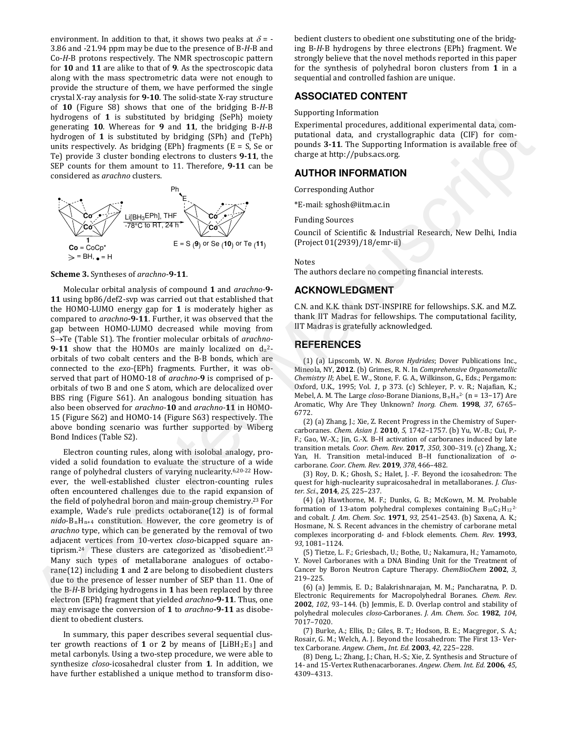environment. In addition to that, it shows two peaks at  $\delta$  = -3.86 and -21.94 ppm may be due to the presence of B-*H*-B and Co-*H*-B protons respectively. The NMR spectroscopic pattern for **10** and **11** are alike to that of **9**. As the spectroscopic data along with the mass spectrometric data were not enough to provide the structure of them, we have performed the single crystal X-ray analysis for **9-10**. The solid-state X-ray structure of **10** (Figure S8) shows that one of the bridging B-*H*-B hydrogens of **1** is substituted by bridging {SePh} moiety generating **10**. Whereas for **9** and **11**, the bridging B-*H*-B hydrogen of **1** is substituted by bridging {SPh} and {TePh} units respectively. As bridging  ${EPh}$  fragments  $(E = S, Se$  or Te) provide 3 cluster bonding electrons to clusters **9-11**, the SEP counts for them amount to 11. Therefore, **9-11** can be considered as *arachno* clusters.



#### **Scheme 3.** Syntheses of *arachno*-**9-11**.

Molecular orbital analysis of compound **1** and *arachno-***9- 11** using bp86/def2-svp was carried out that established that the HOMO-LUMO energy gap for **1** is moderately higher as compared to *arachno***-9-11**. Further, it was observed that the gap between HOMO-LUMO decreased while moving from S→Te (Table S1). The frontier molecular orbitals of *arachno-***9-11** show that the HOMOs are mainly localized on  $d_z^2$ orbitals of two cobalt centers and the B-B bonds, which are connected to the *exo-*{EPh} fragments. Further, it was observed that part of HOMO-18 of *arachno-***9** is comprised of porbitals of two B and one S atom, which are delocalized over BBS ring (Figure S61). An analogous bonding situation has also been observed for *arachno-***10** and *arachno-***11** in HOMO-15 (Figure S62) and HOMO-14 (Figure S63) respectively. The above bonding scenario was further supported by Wiberg Bond Indices (Table S2).

Electron counting rules, along with isolobal analogy, provided a solid foundation to evaluate the structure of a wide range of polyhedral clusters of varying nuclearity. 6,20-22 However, the well-established cluster electron-counting rules often encountered challenges due to the rapid expansion of the field of polyhedral boron and main-group chemistry. <sup>23</sup> For example, Wade's rule predicts octaborane(12) is of formal *nido*-BnHn+4 constitution. However, the core geometry is of *arachno* type, which can be generated by the removal of two adjacent vertices from 10-vertex *closo*-bicapped square antiprism.<sup>24</sup> These clusters are categorized as 'disobedient'.<sup>23</sup> Many such types of metallaborane analogues of octaborane(12) including **1** and **2** are belong to disobedient clusters due to the presence of lesser number of SEP than 11. One of the B-*H*-B bridging hydrogens in **1** has been replaced by three electron {EPh} fragment that yielded *arachno***-9-11**. Thus, one may envisage the conversion of **1** to *arachno***-9-11** as disobedient to obedient clusters. by the sign and is a matrix the bright matrix of the matrix of the sign and receivers and the sign and resources of the matrix of the matrix of the matrix of the matrix of the matrix of the matrix of the matrix of the mat

In summary, this paper describes several sequential cluster growth reactions of **1** or **2** by means of [LiBH2E3] and metal carbonyls. Using a two-step procedure, we were able to synthesize *closo*-icosahedral cluster from **1**. In addition, we have further established a unique method to transform diso-

bedient clusters to obedient one substituting one of the bridging B-*H*-B hydrogens by three electrons {EPh} fragment. We strongly believe that the novel methods reported in this paper for the synthesis of polyhedral boron clusters from **1** in a sequential and controlled fashion are unique.

### **ASSOCIATED CONTENT**

Supporting Information

Experimental procedures, additional experimental data, computational data, and crystallographic data (CIF) for compounds **3-11**. The Supporting Information is available free of charge at http://pubs.acs.org.

### **AUTHOR INFORMATION**

Corresponding Author

\*E-mail: sghosh@iitm.ac.in

Funding Sources

Council of Scientific & Industrial Research, New Delhi, India (Project 01(2939)/18/emr-ii)

Notes

The authors declare no competing financial interests.

### **ACKNOWLEDGMENT**

C.N. and K.K. thank DST-INSPIRE for fellowships. S.K. and M.Z. thank IIT Madras for fellowships. The computational facility, IIT Madras is gratefully acknowledged.

#### **REFERENCES**

(1) (a) Lipscomb, W. N. *Boron Hydrides*; Dover Publications Inc., Mineola, NY, **2012**. (b) Grimes, R. N. In *Comprehensive Organometallic Chemistry II*; Abel, E. W., Stone, F. G. A., Wilkinson, G., Eds.; Pergamon: Oxford, U.K., 1995; Vol. *1*, p 373. (c) Schleyer, P. v. R.; Najafian, K.; Mebel, A. M. The Large *closo-*Borane Dianions, BnH<sup>n</sup> 2- (n = 13−17) Are Aromatic, Why Are They Unknown? *Inorg. Chem.* **1998**, *37*, 6765– 6772.

(2) (a) Zhang, J.; Xie, Z. Recent Progress in the Chemistry of Supercarboranes. *Chem. Asian J.* **2010**, *5*, 1742–1757. (b) Yu, W.-B.; Cui, P.- F.; Gao, W.-X.; Jin, G.-X. B–H activation of carboranes induced by late transition metals. *Coor. Chem. Rev.* **2017**, *350*, 300–319. (c) Zhang, X.; Yan, H. Transition metal-induced B–H functionalization of *o*carborane. *Coor. Chem. Rev.* **2019**, *378*, 466–482.

(3) Roy, D. K.; Ghosh, S.; Halet, J. -F. Beyond the icosahedron: The quest for high-nuclearity supraicosahedral in metallaboranes. *J. Cluster. Sci*., **2014**, *25*, 225–237.

(4) (a) Hawthorne, M. F.; Dunks, G. B.; McKown, M. M. Probable formation of 13-atom polyhedral complexes containing  $B_{10}C_2H_{12}^2$ and cobalt. *J. Am. Chem. Soc.* **1971**, *93*, 2541–2543. (b) Saxena, A. K.; Hosmane, N. S. Recent advances in the chemistry of carborane metal complexes incorporating d- and f-block elements. *Chem. Rev.* **1993**, *93*, 1081–1124.

(5) Tietze, L. F.; Griesbach, U.; Bothe, U.; Nakamura, H.; Yamamoto, Y. Novel Carboranes with a DNA Binding Unit for the Treatment of Cancer by Boron Neutron Capture Therapy. *ChemBioChem* **2002**, *3*, 219–225.

(6) (a) Jemmis, E. D.; Balakrishnarajan, M. M.; Pancharatna, P. D. Electronic Requirements for Macropolyhedral Boranes. *Chem. Rev.* **2002**, *102*, 93–144. (b) Jemmis, E. D. Overlap control and stability of polyhedral molecules *closo-*Carboranes. *J. Am. Chem. Soc.* **1982**, *104*, 7017–7020.

(7) Burke, A.; Ellis, D.; Giles, B. T.; Hodson, B. E.; Macgregor, S. A.; Rosair, G. M.; Welch, A. J. Beyond the Icosahedron: The First 13- Vertex Carborane. *Angew. Chem., Int. Ed.* **2003**, *42*, 225−228.

(8) Deng, L.; Zhang, J.; Chan, H.-S.; Xie, Z. Synthesis and Structure of 14‐ and 15‐Vertex Ruthenacarboranes. *Angew. Chem. Int. Ed.* **2006**, *45*, 4309–4313.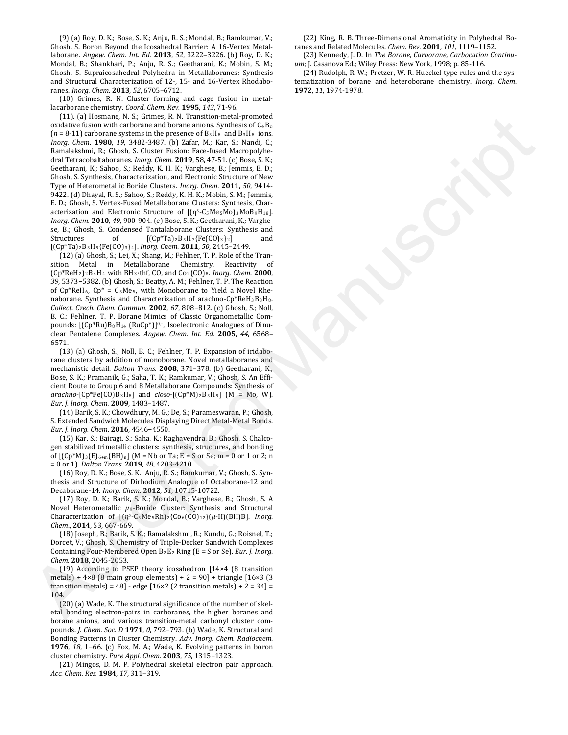(9) (a) Roy, D. K.; Bose, S. K.; Anju, R. S.; Mondal, B.; Ramkumar, V.; Ghosh, S. Boron Beyond the Icosahedral Barrier: A 16-Vertex Metallaborane. *Angew. Chem. Int. Ed.* **2013**, *52*, 3222–3226. (b) Roy, D. K.; Mondal, B.; Shankhari, P.; Anju, R. S.; Geetharani, K.; Mobin, S. M.; Ghosh, S. Supraicosahedral Polyhedra in Metallaboranes: Synthesis and Structural Characterization of 12-, 15- and 16-Vertex Rhodaboranes. *Inorg. Chem.* **2013**, *52*, 6705–6712.

(10) Grimes, R. N. Cluster forming and cage fusion in metallacarborane chemistry. *Coord. Chem. Rev.* **1995**, *143*, 71-96.

(11). (a) Hosmane, N. S.; Grimes, R. N. Transition-metal-promoted oxidative fusion with carborane and borane anions. Synthesis of C4B*<sup>n</sup>*  $(n = 8-11)$  carborane systems in the presence of  $B_5H_8$  and  $B_3H_8$  ions. *Inorg. Chem*. **1980**, *19*, 3482-3487. (b) Zafar, M.; Kar, S.; Nandi, C.; Ramalakshmi, R.; Ghosh, S. Cluster Fusion: Face-fused Macropolyhedral Tetracobaltaboranes. *Inorg. Chem*. **2019**, 58, 47-51. (c) Bose, S. K.; Geetharani, K.; Sahoo, S.; Reddy, K. H. K.; Varghese, B.; Jemmis, E. D.; Ghosh, S. Synthesis, Characterization, and Electronic Structure of New Type of Heterometallic Boride Clusters. *Inorg. Chem.* **2011**, *50*, 9414- 9422. (d) Dhayal, R. S.; Sahoo, S.; Reddy, K. H. K.; Mobin, S. M.; Jemmis, E. D.; Ghosh, S. Vertex-Fused Metallaborane Clusters: Synthesis, Characterization and Electronic Structure of  $[(\eta^5-C_5Me_5Mo)_3MoB_9H_{18}].$ *Inorg. Chem.* **2010**, *49*, 900-904. (e) Bose, S. K.; Geetharani, K.; Varghese, B.; Ghosh, S. Condensed Tantalaborane Clusters: Synthesis and Structures of  $[(Cp*Ta)_2B_5H_7{Fe(CO)_3}_2]$  and [(Cp\*Ta)2B5H9{Fe(CO)3}4]. *Inorg. Chem.* **2011**, *50*, 2445–2449. (11) by Boston West Columnic by Research and the Manuscript control of the Manuscript control of the Manuscript control of the Manuscript control of the Manuscript control of the Manuscript control of the Manuscript contr

(12) (a) Ghosh, S.; Lei, X.; Shang, M.; Fehlner, T. P. Role of the Transition Metal in Metallaborane Chemistry. Reactivity of (Cp\*ReH2)2B4H<sup>4</sup> with BH3·thf, CO, and Co2(CO)8. *Inorg. Chem.* **2000**, *39*, 5373−5382. (b) Ghosh, S.; Beatty, A. M.; Fehlner, T. P. The Reaction of  $Cp*ReH_6$ ,  $Cp* = C_5Me_5$ , with Monoborane to Yield a Novel Rhenaborane. Synthesis and Characterization of arachno-Cp\*ReH3B3H8. *Collect. Czech. Chem. Commun.* **2002**, *67*, 808−812. (c) Ghosh, S.; Noll, B. C.; Fehlner, T. P. Borane Mimics of Classic Organometallic Compounds:  $[(Cp*Ru)B_8H_{14} (RuCp*)]^{0,*}$ , Isoelectronic Analogues of Dinuclear Pentalene Complexes. *Angew. Chem. Int. Ed.* **2005**, *44*, 6568– 6571.

(13) (a) Ghosh, S.; Noll, B. C.; Fehlner, T. P. Expansion of iridaborane clusters by addition of monoborane. Novel metallaboranes and mechanistic detail. *Dalton Trans.* **2008**, 371–378. (b) Geetharani, K.; Bose, S. K.; Pramanik, G.; Saha, T. K.; Ramkumar, V.; Ghosh, S. An Efficient Route to Group 6 and 8 Metallaborane Compounds: Synthesis of  $arachno$ -[Cp\*Fe(CO)B<sub>3</sub>H<sub>8</sub>] and *closo*-[(Cp\*M)<sub>2</sub>B<sub>5</sub>H<sub>9</sub>] (M = Mo, W). *Eur. J. Inorg. Chem.* **2009**, 1483–1487.

(14) Barik, S. K.; Chowdhury, M. G.; De, S.; Parameswaran, P.; Ghosh, S. Extended Sandwich Molecules Displaying Direct Metal-Metal Bonds. *Eur. J. Inorg. Chem*. **2016**, 4546−4550.

(15) Kar, S.; Bairagi, S.; Saha, K.; Raghavendra, B.; Ghosh, S. Chalcogen stabilized trimetallic clusters: synthesis, structures, and bonding of  $[(Cp*M)_3(E)_{6+m}(BH)_n]$   $(M = Nb$  or Ta;  $E = S$  or Se; m = 0 or 1 or 2; n = 0 or 1). *Dalton Trans.* **2019**, *48*, 4203-4210.

(16) Roy, D. K.; Bose, S. K.; Anju, R. S.; Ramkumar, V.; Ghosh, S. Synthesis and Structure of Dirhodium Analogue of Octaborane-12 and Decaborane-14. *Inorg. Chem*. **2012**, *51*, 10715-10722.

(17) Roy, D. K.; Barik, S. K.; Mondal, B.; Varghese, B.; Ghosh, S. A Novel Heterometallic *μ*9-Boride Cluster: Synthesis and Structural Characterization of [(*η*5-C5Me5Rh)2{Co6(CO)12}(*μ*-H)(BH)B]. *Inorg. Chem*., **2014**, 53, 667-669.

(18) Joseph, B.; Barik, S. K.; Ramalakshmi, R.; Kundu, G.; Roisnel, T.; Dorcet, V.; Ghosh, S. Chemistry of Triple-Decker Sandwich Complexes Containing Four-Membered Open B2E<sup>2</sup> Ring (E = S or Se). *Eur. J. Inorg. Chem.* **2018**, 2045-2053.

(19) According to PSEP theory icosahedron [14×4 (8 transition metals) + 4×8 (8 main group elements) + 2 = 90] + triangle [16×3 (3 transition metals) = 48] - edge  $[16\times2 (2 \text{ transition metals}) + 2 = 34] =$ 104.

(20) (a) Wade, K. The structural significance of the number of skeletal bonding electron-pairs in carboranes, the higher boranes and borane anions, and various transition-metal carbonyl cluster compounds. *J. Chem. Soc. D* **1971**, *0*, 792−793. (b) Wade, K. Structural and Bonding Patterns in Cluster Chemistry. *Adv. Inorg. Chem. Radiochem.* **1976**, *18*, 1−66. (c) Fox, M. A.; Wade, K. Evolving patterns in boron cluster chemistry. *Pure Appl. Chem.* **2003**, *75*, 1315−1323.

(21) Mingos, D. M. P. Polyhedral skeletal electron pair approach. *Acc. Chem. Res.* **1984**, *17*, 311–319.

(22) King, R. B. Three-Dimensional Aromaticity in Polyhedral Boranes and Related Molecules. *Chem. Rev.* **2001**, *101*, 1119–1152.

(23) Kennedy, J. D. In *The Borane, Carborane, Carbocation Continuum*; J. Casanova Ed.; Wiley Press: New York, 1998; p. 85-116.

(24) Rudolph, R. W.; Pretzer, W. R. Hueckel-type rules and the systematization of borane and heteroborane chemistry. *Inorg. Chem*. **1972**, *11*, 1974-1978.